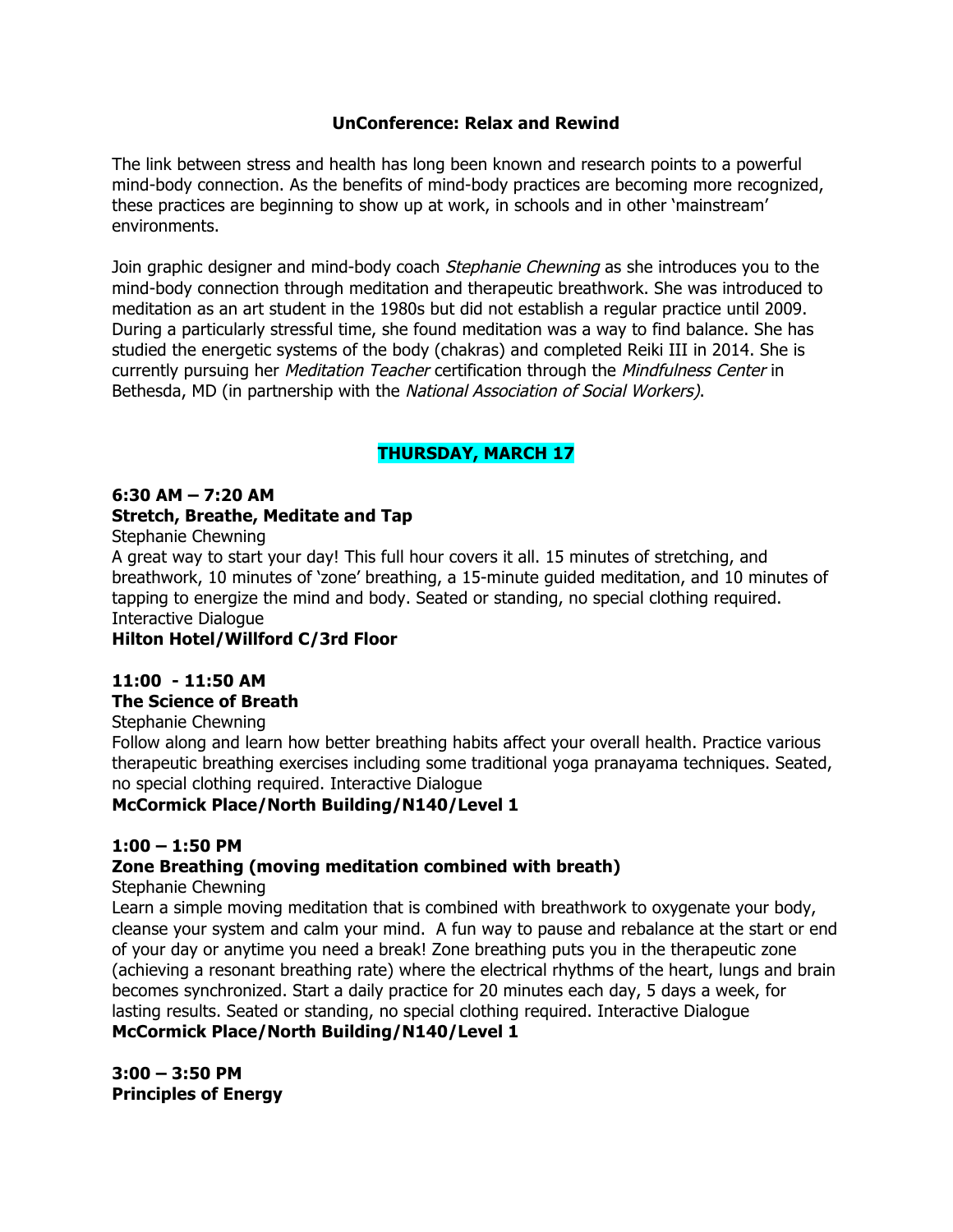### **UnConference: Relax and Rewind**

The link between stress and health has long been known and research points to a powerful mind-body connection. As the benefits of mind-body practices are becoming more recognized, these practices are beginning to show up at work, in schools and in other 'mainstream' environments.

Join graphic designer and mind-body coach Stephanie Chewning as she introduces you to the mind-body connection through meditation and therapeutic breathwork. She was introduced to meditation as an art student in the 1980s but did not establish a regular practice until 2009. During a particularly stressful time, she found meditation was a way to find balance. She has studied the energetic systems of the body (chakras) and completed Reiki III in 2014. She is currently pursuing her *Meditation Teacher* certification through the *Mindfulness Center* in Bethesda, MD (in partnership with the National Association of Social Workers).

## **THURSDAY, MARCH 17**

### **6:30 AM – 7:20 AM Stretch, Breathe, Meditate and Tap**

Stephanie Chewning

A great way to start your day! This full hour covers it all. 15 minutes of stretching, and breathwork, 10 minutes of 'zone' breathing, a 15-minute guided meditation, and 10 minutes of tapping to energize the mind and body. Seated or standing, no special clothing required. Interactive Dialogue

### **Hilton Hotel/Willford C/3rd Floor**

## **11:00 - 11:50 AM**

### **The Science of Breath**

Stephanie Chewning

Follow along and learn how better breathing habits affect your overall health. Practice various therapeutic breathing exercises including some traditional yoga pranayama techniques. Seated, no special clothing required. Interactive Dialogue

## **McCormick Place/North Building/N140/Level 1**

### **1:00 – 1:50 PM**

## **Zone Breathing (moving meditation combined with breath)**

Stephanie Chewning

Learn a simple moving meditation that is combined with breathwork to oxygenate your body, cleanse your system and calm your mind. A fun way to pause and rebalance at the start or end of your day or anytime you need a break! Zone breathing puts you in the therapeutic zone (achieving a resonant breathing rate) where the electrical rhythms of the heart, lungs and brain becomes synchronized. Start a daily practice for 20 minutes each day, 5 days a week, for lasting results. Seated or standing, no special clothing required. Interactive Dialogue **McCormick Place/North Building/N140/Level 1**

**3:00 – 3:50 PM Principles of Energy**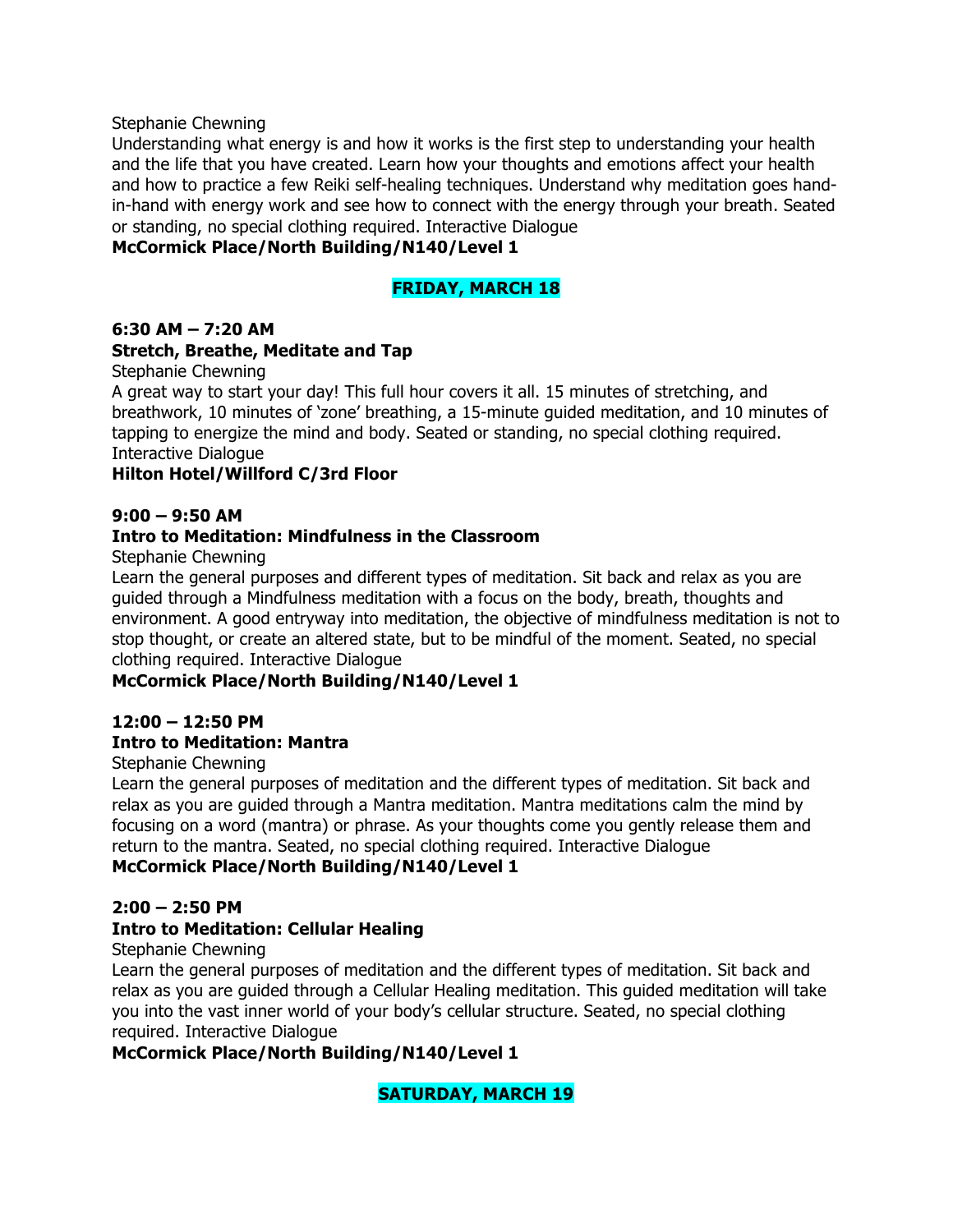Stephanie Chewning

Understanding what energy is and how it works is the first step to understanding your health and the life that you have created. Learn how your thoughts and emotions affect your health and how to practice a few Reiki self-healing techniques. Understand why meditation goes handin-hand with energy work and see how to connect with the energy through your breath. Seated or standing, no special clothing required. Interactive Dialogue

### **McCormick Place/North Building/N140/Level 1**

### **FRIDAY, MARCH 18**

#### **6:30 AM – 7:20 AM**

### **Stretch, Breathe, Meditate and Tap**

Stephanie Chewning

A great way to start your day! This full hour covers it all. 15 minutes of stretching, and breathwork, 10 minutes of 'zone' breathing, a 15-minute guided meditation, and 10 minutes of tapping to energize the mind and body. Seated or standing, no special clothing required. Interactive Dialogue

### **Hilton Hotel/Willford C/3rd Floor**

#### **9:00 – 9:50 AM**

### **Intro to Meditation: Mindfulness in the Classroom**

Stephanie Chewning

Learn the general purposes and different types of meditation. Sit back and relax as you are guided through a Mindfulness meditation with a focus on the body, breath, thoughts and environment. A good entryway into meditation, the objective of mindfulness meditation is not to stop thought, or create an altered state, but to be mindful of the moment. Seated, no special clothing required. Interactive Dialogue

### **McCormick Place/North Building/N140/Level 1**

### **12:00 – 12:50 PM**

### **Intro to Meditation: Mantra**

#### Stephanie Chewning

Learn the general purposes of meditation and the different types of meditation. Sit back and relax as you are guided through a Mantra meditation. Mantra meditations calm the mind by focusing on a word (mantra) or phrase. As your thoughts come you gently release them and return to the mantra. Seated, no special clothing required. Interactive Dialogue

### **McCormick Place/North Building/N140/Level 1**

### **2:00 – 2:50 PM**

### **Intro to Meditation: Cellular Healing**

#### Stephanie Chewning

Learn the general purposes of meditation and the different types of meditation. Sit back and relax as you are guided through a Cellular Healing meditation. This guided meditation will take you into the vast inner world of your body's cellular structure. Seated, no special clothing required. Interactive Dialogue

### **McCormick Place/North Building/N140/Level 1**

### **SATURDAY, MARCH 19**